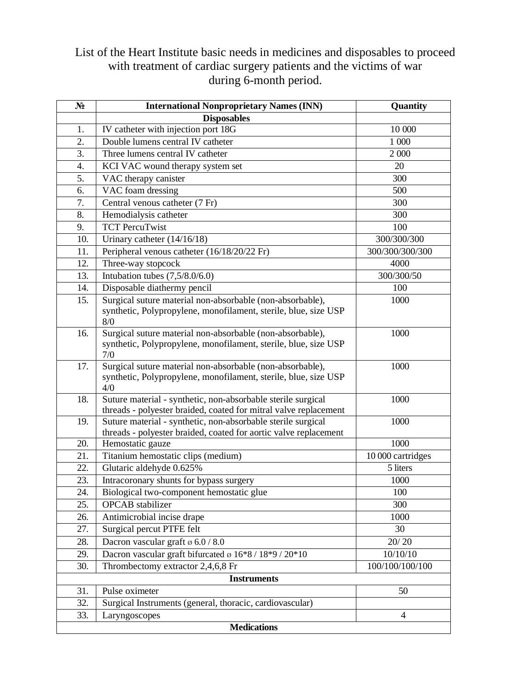## List of the Heart Institute basic needs in medicines and disposables to proceed with treatment of cardiac surgery patients and the victims of war during 6-month period.

| $N_2$              | <b>International Nonproprietary Names (INN)</b>                                                                                     | Quantity          |  |
|--------------------|-------------------------------------------------------------------------------------------------------------------------------------|-------------------|--|
|                    | <b>Disposables</b>                                                                                                                  |                   |  |
| 1.                 | IV catheter with injection port 18G                                                                                                 | 10 000            |  |
| 2.                 | Double lumens central IV catheter                                                                                                   | 1 000             |  |
| 3.                 | Three lumens central IV catheter                                                                                                    | 2 000             |  |
| 4.                 | KCI VAC wound therapy system set                                                                                                    | 20                |  |
| 5.                 | VAC therapy canister                                                                                                                | 300               |  |
| 6.                 | VAC foam dressing                                                                                                                   | 500               |  |
| 7.                 | Central venous catheter (7 Fr)                                                                                                      | 300               |  |
| 8.                 | Hemodialysis catheter                                                                                                               | 300               |  |
| 9.                 | <b>TCT PercuTwist</b>                                                                                                               | 100               |  |
| 10.                | Urinary catheter $(14/16/18)$                                                                                                       | 300/300/300       |  |
| 11.                | Peripheral venous catheter (16/18/20/22 Fr)                                                                                         | 300/300/300/300   |  |
| 12.                | Three-way stopcock                                                                                                                  | 4000              |  |
| 13.                | Intubation tubes $(7,5/8.0/6.0)$                                                                                                    | 300/300/50        |  |
| 14.                | Disposable diathermy pencil                                                                                                         | 100               |  |
| 15.                | Surgical suture material non-absorbable (non-absorbable),<br>synthetic, Polypropylene, monofilament, sterile, blue, size USP<br>8/0 | 1000              |  |
| 16.                | Surgical suture material non-absorbable (non-absorbable),<br>synthetic, Polypropylene, monofilament, sterile, blue, size USP<br>7/0 | 1000              |  |
| 17.                | Surgical suture material non-absorbable (non-absorbable),<br>synthetic, Polypropylene, monofilament, sterile, blue, size USP<br>4/0 | 1000              |  |
| 18.                | Suture material - synthetic, non-absorbable sterile surgical<br>threads - polyester braided, coated for mitral valve replacement    | 1000              |  |
| 19.                | Suture material - synthetic, non-absorbable sterile surgical<br>threads - polyester braided, coated for aortic valve replacement    | 1000              |  |
| 20.                | Hemostatic gauze                                                                                                                    | 1000              |  |
| 21.                | Titanium hemostatic clips (medium)                                                                                                  | 10 000 cartridges |  |
| 22.                | Glutaric aldehyde 0.625%                                                                                                            | 5 liters          |  |
| 23.                | Intracoronary shunts for bypass surgery                                                                                             | 1000              |  |
| 24.                | Biological two-component hemostatic glue                                                                                            | 100               |  |
| 25.                | <b>OPCAB</b> stabilizer                                                                                                             | 300               |  |
| 26.                | Antimicrobial incise drape                                                                                                          | 1000              |  |
| 27.                | Surgical percut PTFE felt                                                                                                           | 30                |  |
| 28.                | Dacron vascular graft ø 6.0 / 8.0                                                                                                   | 20/20             |  |
| 29.                | Dacron vascular graft bifurcated ø 16*8 / 18*9 / 20*10                                                                              | 10/10/10          |  |
| 30.                | Thrombectomy extractor 2,4,6,8 Fr                                                                                                   | 100/100/100/100   |  |
| <b>Instruments</b> |                                                                                                                                     |                   |  |
| 31.                | Pulse oximeter                                                                                                                      | 50                |  |
| 32.                | Surgical Instruments (general, thoracic, cardiovascular)                                                                            |                   |  |
| 33.                | Laryngoscopes                                                                                                                       | $\overline{4}$    |  |
| <b>Medications</b> |                                                                                                                                     |                   |  |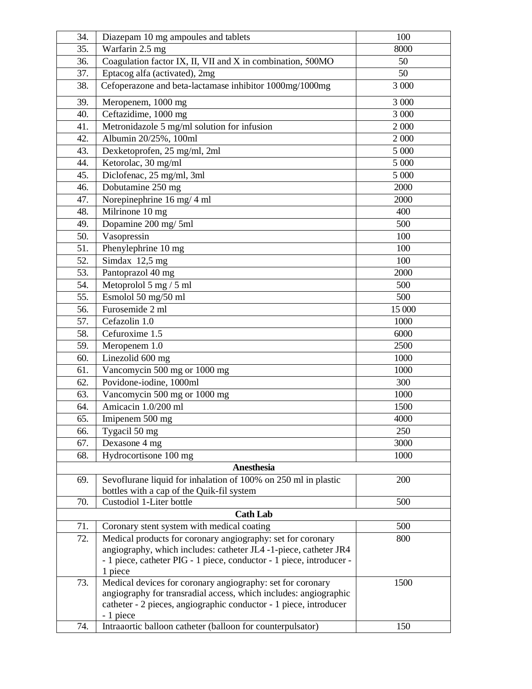| 34.               | Diazepam 10 mg ampoules and tablets                                                                                                                                                                                | 100    |  |  |
|-------------------|--------------------------------------------------------------------------------------------------------------------------------------------------------------------------------------------------------------------|--------|--|--|
| 35.               | Warfarin 2.5 mg                                                                                                                                                                                                    | 8000   |  |  |
| 36.               | Coagulation factor IX, II, VII and X in combination, 500MO                                                                                                                                                         | 50     |  |  |
| 37.               | Eptacog alfa (activated), 2mg                                                                                                                                                                                      | 50     |  |  |
| 38.               | Cefoperazone and beta-lactamase inhibitor 1000mg/1000mg                                                                                                                                                            | 3 000  |  |  |
| 39.               | Meropenem, 1000 mg                                                                                                                                                                                                 | 3 000  |  |  |
| 40.               | Ceftazidime, 1000 mg                                                                                                                                                                                               | 3 000  |  |  |
| 41.               | Metronidazole 5 mg/ml solution for infusion                                                                                                                                                                        | 2 000  |  |  |
| 42.               | Albumin 20/25%, 100ml                                                                                                                                                                                              | 2 000  |  |  |
| 43.               | Dexketoprofen, 25 mg/ml, 2ml                                                                                                                                                                                       | 5 000  |  |  |
| 44.               | Ketorolac, 30 mg/ml                                                                                                                                                                                                | 5 000  |  |  |
| 45.               | Diclofenac, 25 mg/ml, 3ml                                                                                                                                                                                          | 5 000  |  |  |
| 46.               | Dobutamine 250 mg                                                                                                                                                                                                  | 2000   |  |  |
| 47.               | Norepinephrine 16 mg/ 4 ml                                                                                                                                                                                         | 2000   |  |  |
| 48.               | Milrinone 10 mg                                                                                                                                                                                                    | 400    |  |  |
| 49.               | Dopamine 200 mg/ 5ml                                                                                                                                                                                               | 500    |  |  |
| 50.               | Vasopressin                                                                                                                                                                                                        | 100    |  |  |
| 51.               | Phenylephrine 10 mg                                                                                                                                                                                                | 100    |  |  |
| 52.               | $\overline{\text{Sim}}$ dax 12,5 mg                                                                                                                                                                                | 100    |  |  |
| 53.               | Pantoprazol 40 mg                                                                                                                                                                                                  | 2000   |  |  |
| 54.               | Metoprolol 5 mg / 5 ml                                                                                                                                                                                             | 500    |  |  |
| 55.               | Esmolol 50 mg/50 ml                                                                                                                                                                                                | 500    |  |  |
| 56.               | Furosemide 2 ml                                                                                                                                                                                                    | 15 000 |  |  |
| 57.               | Cefazolin 1.0                                                                                                                                                                                                      | 1000   |  |  |
| 58.               | Cefuroxime 1.5                                                                                                                                                                                                     | 6000   |  |  |
| 59.               | Meropenem 1.0                                                                                                                                                                                                      | 2500   |  |  |
| 60.               | Linezolid 600 mg                                                                                                                                                                                                   | 1000   |  |  |
| 61.               | Vancomycin 500 mg or 1000 mg                                                                                                                                                                                       | 1000   |  |  |
| 62.               | Povidone-iodine, 1000ml                                                                                                                                                                                            | 300    |  |  |
| 63.               | Vancomycin 500 mg or 1000 mg                                                                                                                                                                                       | 1000   |  |  |
| 64.               | Amicacin 1.0/200 ml                                                                                                                                                                                                | 1500   |  |  |
| 65.               | Imipenem 500 mg                                                                                                                                                                                                    | 4000   |  |  |
| 66.               | Tygacil 50 mg                                                                                                                                                                                                      | 250    |  |  |
| 67.               | Dexasone 4 mg                                                                                                                                                                                                      | 3000   |  |  |
| 68.               | Hydrocortisone 100 mg                                                                                                                                                                                              | 1000   |  |  |
| <b>Anesthesia</b> |                                                                                                                                                                                                                    |        |  |  |
| 69.               | Sevoflurane liquid for inhalation of 100% on 250 ml in plastic                                                                                                                                                     | 200    |  |  |
|                   | bottles with a cap of the Quik-fil system                                                                                                                                                                          |        |  |  |
| 70.               | Custodiol 1-Liter bottle                                                                                                                                                                                           | 500    |  |  |
|                   | <b>Cath Lab</b>                                                                                                                                                                                                    |        |  |  |
| 71.               | Coronary stent system with medical coating                                                                                                                                                                         | 500    |  |  |
| 72.               | Medical products for coronary angiography: set for coronary<br>angiography, which includes: catheter JL4 -1-piece, catheter JR4<br>- 1 piece, catheter PIG - 1 piece, conductor - 1 piece, introducer -<br>1 piece | 800    |  |  |
| 73.               | Medical devices for coronary angiography: set for coronary<br>angiography for transradial access, which includes: angiographic<br>catheter - 2 pieces, angiographic conductor - 1 piece, introducer<br>- 1 piece   | 1500   |  |  |
| 74.               | Intraaortic balloon catheter (balloon for counterpulsator)                                                                                                                                                         | 150    |  |  |